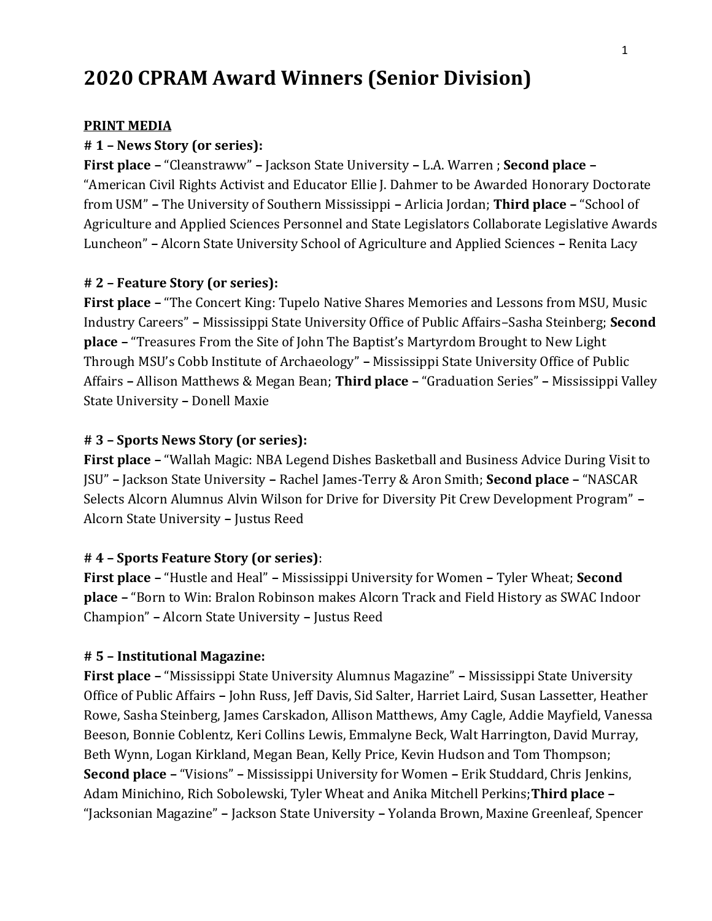# **2020 CPRAM Award Winners (Senior Division)**

#### **PRINT MEDIA**

#### **# 1 – News Story (or series):**

**First place –** "Cleanstraww" **–** Jackson State University **–** L.A. Warren ; **Second place –** "American Civil Rights Activist and Educator Ellie J. Dahmer to be Awarded Honorary Doctorate from USM" **–** The University of Southern Mississippi **–** Arlicia Jordan; **Third place –** "School of Agriculture and Applied Sciences Personnel and State Legislators Collaborate Legislative Awards Luncheon" **–** Alcorn State University School of Agriculture and Applied Sciences **–** Renita Lacy

#### **# 2 – Feature Story (or series):**

**First place –** "The Concert King: Tupelo Native Shares Memories and Lessons from MSU, Music Industry Careers" **–** Mississippi State University Office of Public Affairs–Sasha Steinberg; **Second place –** "Treasures From the Site of John The Baptist's Martyrdom Brought to New Light Through MSU's Cobb Institute of Archaeology" **–** Mississippi State University Office of Public Affairs **–** Allison Matthews & Megan Bean; **Third place –** "Graduation Series" **–** Mississippi Valley State University **–** Donell Maxie

#### **# 3 – Sports News Story (or series):**

**First place –** "Wallah Magic: NBA Legend Dishes Basketball and Business Advice During Visit to JSU" **–** Jackson State University **–** Rachel James-Terry & Aron Smith; **Second place –** "NASCAR Selects Alcorn Alumnus Alvin Wilson for Drive for Diversity Pit Crew Development Program" **–** Alcorn State University **–** Justus Reed

#### **# 4 – Sports Feature Story (or series)**:

**First place –** "Hustle and Heal" **–** Mississippi University for Women **–** Tyler Wheat; **Second place –** "Born to Win: Bralon Robinson makes Alcorn Track and Field History as SWAC Indoor Champion" **–** Alcorn State University **–** Justus Reed

#### **# 5 – Institutional Magazine:**

**First place –** "Mississippi State University Alumnus Magazine" **–** Mississippi State University Office of Public Affairs **–** John Russ, Jeff Davis, Sid Salter, Harriet Laird, Susan Lassetter, Heather Rowe, Sasha Steinberg, James Carskadon, Allison Matthews, Amy Cagle, Addie Mayfield, Vanessa Beeson, Bonnie Coblentz, Keri Collins Lewis, Emmalyne Beck, Walt Harrington, David Murray, Beth Wynn, Logan Kirkland, Megan Bean, Kelly Price, Kevin Hudson and Tom Thompson; **Second place –** "Visions" **–** Mississippi University for Women **–** Erik Studdard, Chris Jenkins, Adam Minichino, Rich Sobolewski, Tyler Wheat and Anika Mitchell Perkins;**Third place –** "Jacksonian Magazine" **–** Jackson State University **–** Yolanda Brown, Maxine Greenleaf, Spencer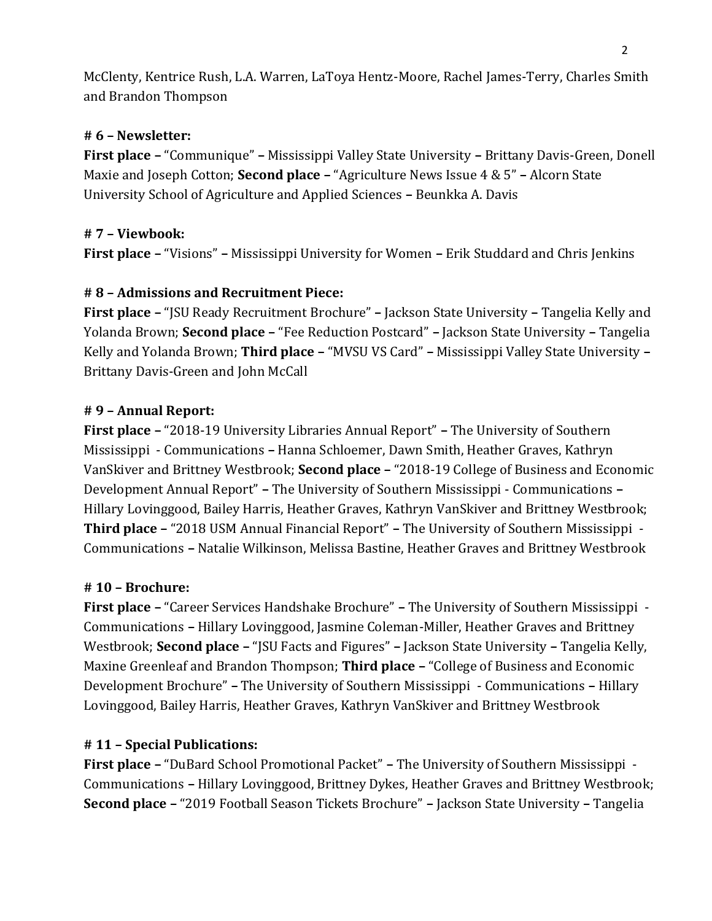McClenty, Kentrice Rush, L.A. Warren, LaToya Hentz-Moore, Rachel James-Terry, Charles Smith and Brandon Thompson

### **# 6 – Newsletter:**

**First place –** "Communique" **–** Mississippi Valley State University **–** Brittany Davis-Green, Donell Maxie and Joseph Cotton; **Second place –** "Agriculture News Issue 4 & 5" **–** Alcorn State University School of Agriculture and Applied Sciences **–** Beunkka A. Davis

#### **# 7 – Viewbook:**

**First place –** "Visions" **–** Mississippi University for Women **–** Erik Studdard and Chris Jenkins

#### **# 8 – Admissions and Recruitment Piece:**

**First place –** "JSU Ready Recruitment Brochure" **–** Jackson State University **–** Tangelia Kelly and Yolanda Brown; **Second place –** "Fee Reduction Postcard" **–** Jackson State University **–** Tangelia Kelly and Yolanda Brown; **Third place –** "MVSU VS Card" **–** Mississippi Valley State University **–** Brittany Davis-Green and John McCall

#### **# 9 – Annual Report:**

**First place –** "2018-19 University Libraries Annual Report" **–** The University of Southern Mississippi - Communications **–** Hanna Schloemer, Dawn Smith, Heather Graves, Kathryn VanSkiver and Brittney Westbrook; **Second place –** "2018-19 College of Business and Economic Development Annual Report" **–** The University of Southern Mississippi - Communications **–** Hillary Lovinggood, Bailey Harris, Heather Graves, Kathryn VanSkiver and Brittney Westbrook; **Third place –** "2018 USM Annual Financial Report" **–** The University of Southern Mississippi - Communications **–** Natalie Wilkinson, Melissa Bastine, Heather Graves and Brittney Westbrook

#### **# 10 – Brochure:**

**First place –** "Career Services Handshake Brochure" **–** The University of Southern Mississippi - Communications **–** Hillary Lovinggood, Jasmine Coleman-Miller, Heather Graves and Brittney Westbrook; **Second place –** "JSU Facts and Figures" **–** Jackson State University **–** Tangelia Kelly, Maxine Greenleaf and Brandon Thompson; **Third place –** "College of Business and Economic Development Brochure" **–** The University of Southern Mississippi - Communications **–** Hillary Lovinggood, Bailey Harris, Heather Graves, Kathryn VanSkiver and Brittney Westbrook

### **# 11 – Special Publications:**

**First place –** "DuBard School Promotional Packet" **–** The University of Southern Mississippi - Communications **–** Hillary Lovinggood, Brittney Dykes, Heather Graves and Brittney Westbrook; **Second place –** "2019 Football Season Tickets Brochure" **–** Jackson State University **–** Tangelia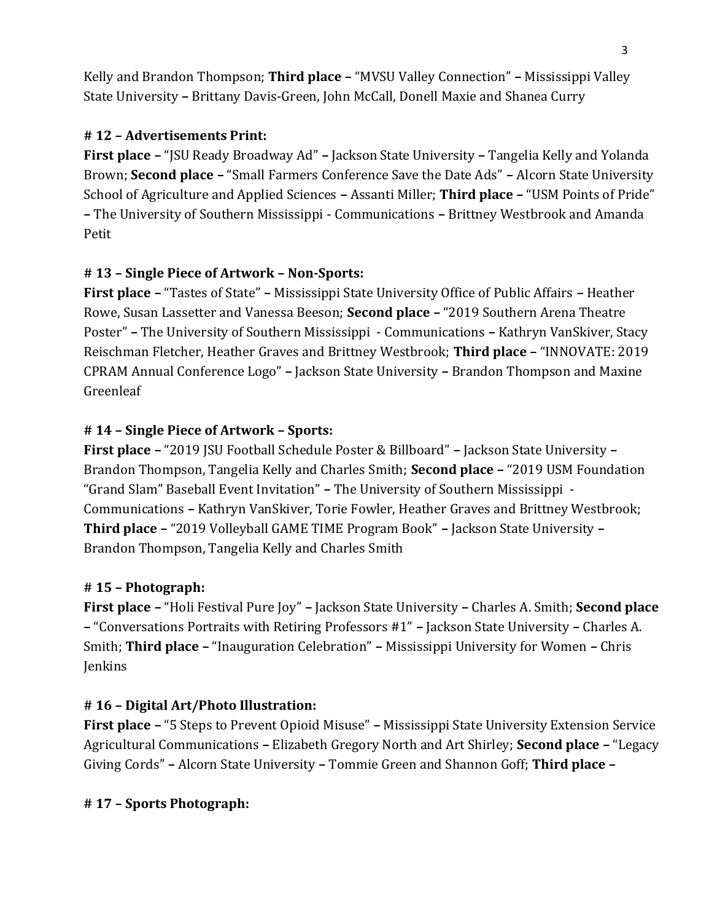Kelly and Brandon Thompson; **Third place –** "MVSU Valley Connection" **–** Mississippi Valley State University **–** Brittany Davis-Green, John McCall, Donell Maxie and Shanea Curry

## **# 12 – Advertisements Print:**

**First place –** "JSU Ready Broadway Ad" **–** Jackson State University **–** Tangelia Kelly and Yolanda Brown; **Second place –** "Small Farmers Conference Save the Date Ads" **–** Alcorn State University School of Agriculture and Applied Sciences **–** Assanti Miller; **Third place –** "USM Points of Pride" **–** The University of Southern Mississippi - Communications **–** Brittney Westbrook and Amanda Petit

## **# 13 – Single Piece of Artwork – Non-Sports:**

**First place –** "Tastes of State" **–** Mississippi State University Office of Public Affairs **–** Heather Rowe, Susan Lassetter and Vanessa Beeson; **Second place –** "2019 Southern Arena Theatre Poster" **–** The University of Southern Mississippi - Communications **–** Kathryn VanSkiver, Stacy Reischman Fletcher, Heather Graves and Brittney Westbrook; **Third place –** "INNOVATE: 2019 CPRAM Annual Conference Logo" **–** Jackson State University **–** Brandon Thompson and Maxine Greenleaf

## **# 14 – Single Piece of Artwork – Sports:**

**First place –** "2019 JSU Football Schedule Poster & Billboard" **–** Jackson State University **–** Brandon Thompson, Tangelia Kelly and Charles Smith; **Second place –** "2019 USM Foundation "Grand Slam" Baseball Event Invitation" **–** The University of Southern Mississippi - Communications **–** Kathryn VanSkiver, Torie Fowler, Heather Graves and Brittney Westbrook; **Third place –** "2019 Volleyball GAME TIME Program Book" **–** Jackson State University **–** Brandon Thompson, Tangelia Kelly and Charles Smith

## **# 15 – Photograph:**

**First place –** "Holi Festival Pure Joy" **–** Jackson State University **–** Charles A. Smith; **Second place –** "Conversations Portraits with Retiring Professors #1" **–** Jackson State University **–** Charles A. Smith; **Third place –** "Inauguration Celebration" **–** Mississippi University for Women **–** Chris Jenkins

## **# 16 – Digital Art/Photo Illustration:**

**First place –** "5 Steps to Prevent Opioid Misuse" **–** Mississippi State University Extension Service Agricultural Communications **–** Elizabeth Gregory North and Art Shirley; **Second place –** "Legacy Giving Cords" **–** Alcorn State University **–** Tommie Green and Shannon Goff; **Third place –**

## **# 17 – Sports Photograph:**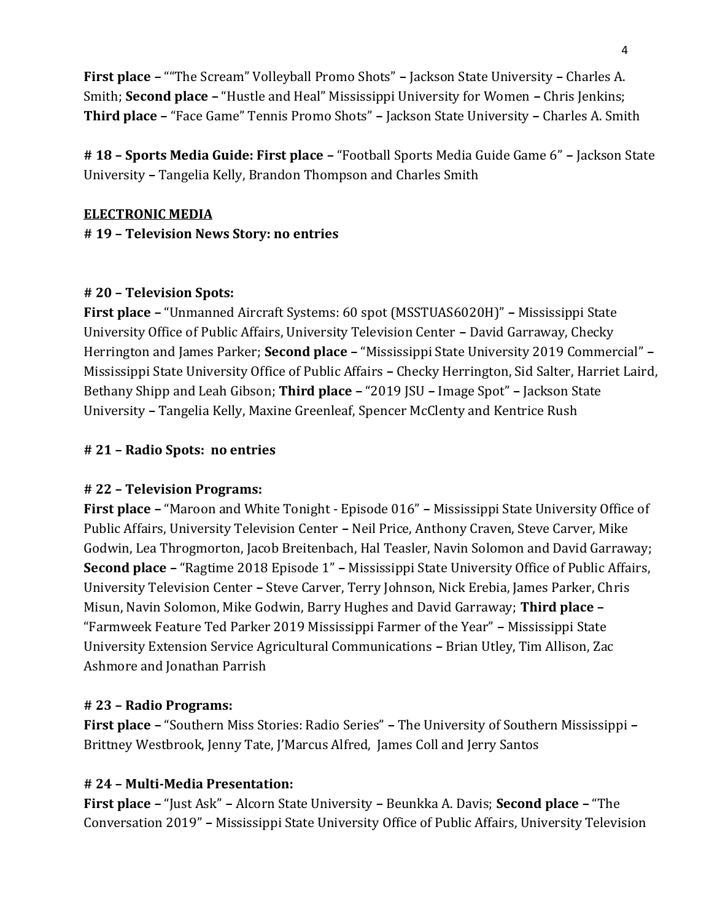**First place –** ""The Scream" Volleyball Promo Shots" **–** Jackson State University **–** Charles A. Smith; **Second place –** "Hustle and Heal" Mississippi University for Women **–** Chris Jenkins; **Third place –** "Face Game" Tennis Promo Shots" **–** Jackson State University **–** Charles A. Smith

**# 18 – Sports Media Guide: First place –** "Football Sports Media Guide Game 6" **–** Jackson State University **–** Tangelia Kelly, Brandon Thompson and Charles Smith

#### **ELECTRONIC MEDIA**

**# 19 – Television News Story: no entries**

### **# 20 – Television Spots:**

**First place –** "Unmanned Aircraft Systems: 60 spot (MSSTUAS6020H)" **–** Mississippi State University Office of Public Affairs, University Television Center **–** David Garraway, Checky Herrington and James Parker; **Second place –** "Mississippi State University 2019 Commercial" **–** Mississippi State University Office of Public Affairs **–** Checky Herrington, Sid Salter, Harriet Laird, Bethany Shipp and Leah Gibson; **Third place –** "2019 JSU **–** Image Spot" **–** Jackson State University **–** Tangelia Kelly, Maxine Greenleaf, Spencer McClenty and Kentrice Rush

### **# 21 – Radio Spots: no entries**

### **# 22 – Television Programs:**

**First place –** "Maroon and White Tonight - Episode 016" **–** Mississippi State University Office of Public Affairs, University Television Center **–** Neil Price, Anthony Craven, Steve Carver, Mike Godwin, Lea Throgmorton, Jacob Breitenbach, Hal Teasler, Navin Solomon and David Garraway; **Second place –** "Ragtime 2018 Episode 1" **–** Mississippi State University Office of Public Affairs, University Television Center **–** Steve Carver, Terry Johnson, Nick Erebia, James Parker, Chris Misun, Navin Solomon, Mike Godwin, Barry Hughes and David Garraway; **Third place –** "Farmweek Feature Ted Parker 2019 Mississippi Farmer of the Year" **–** Mississippi State University Extension Service Agricultural Communications **–** Brian Utley, Tim Allison, Zac Ashmore and Jonathan Parrish

### **# 23 – Radio Programs:**

**First place –** "Southern Miss Stories: Radio Series" **–** The University of Southern Mississippi **–** Brittney Westbrook, Jenny Tate, J'Marcus Alfred, James Coll and Jerry Santos

### **# 24 – Multi-Media Presentation:**

**First place –** "Just Ask" **–** Alcorn State University **–** Beunkka A. Davis; **Second place –** "The Conversation 2019" **–** Mississippi State University Office of Public Affairs, University Television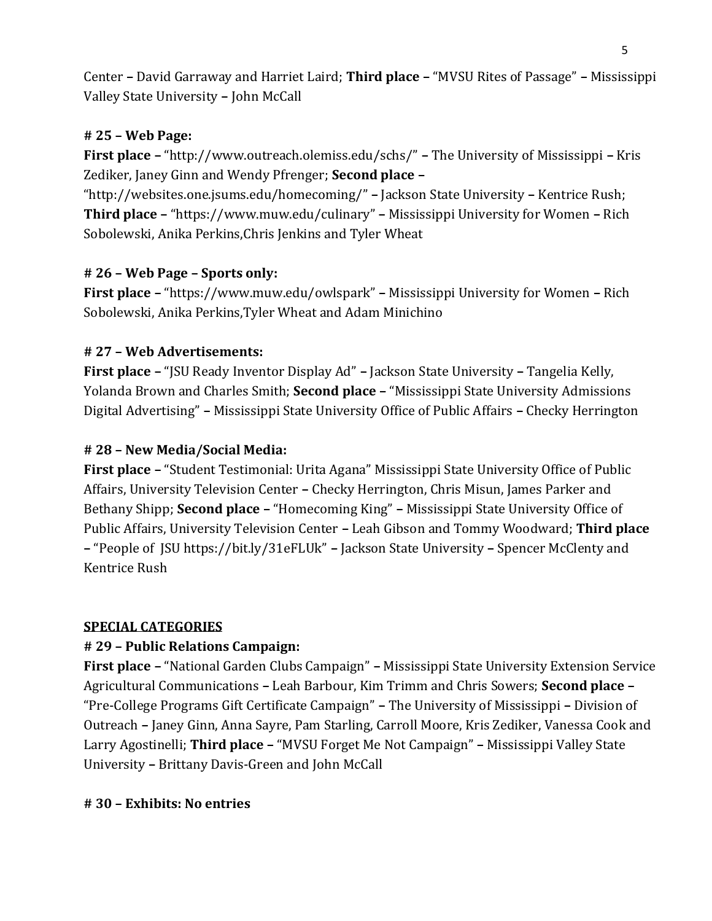Center **–** David Garraway and Harriet Laird; **Third place –** "MVSU Rites of Passage" **–** Mississippi Valley State University **–** John McCall

### **# 25 – Web Page:**

**First place –** "http://www.outreach.olemiss.edu/schs/" **–** The University of Mississippi **–** Kris Zediker, Janey Ginn and Wendy Pfrenger; **Second place –**

"http://websites.one.jsums.edu/homecoming/" **–** Jackson State University **–** Kentrice Rush; **Third place –** "https://www.muw.edu/culinary" **–** Mississippi University for Women **–** Rich Sobolewski, Anika Perkins,Chris Jenkins and Tyler Wheat

## **# 26 – Web Page – Sports only:**

**First place –** "https://www.muw.edu/owlspark" **–** Mississippi University for Women **–** Rich Sobolewski, Anika Perkins,Tyler Wheat and Adam Minichino

### **# 27 – Web Advertisements:**

**First place –** "JSU Ready Inventor Display Ad" **–** Jackson State University **–** Tangelia Kelly, Yolanda Brown and Charles Smith; **Second place –** "Mississippi State University Admissions Digital Advertising" **–** Mississippi State University Office of Public Affairs **–** Checky Herrington

### **# 28 – New Media/Social Media:**

**First place –** "Student Testimonial: Urita Agana" Mississippi State University Office of Public Affairs, University Television Center **–** Checky Herrington, Chris Misun, James Parker and Bethany Shipp; **Second place –** "Homecoming King" **–** Mississippi State University Office of Public Affairs, University Television Center **–** Leah Gibson and Tommy Woodward; **Third place –** "People of JSU https://bit.ly/31eFLUk" **–** Jackson State University **–** Spencer McClenty and Kentrice Rush

### **SPECIAL CATEGORIES**

## **# 29 – Public Relations Campaign:**

**First place –** "National Garden Clubs Campaign" **–** Mississippi State University Extension Service Agricultural Communications **–** Leah Barbour, Kim Trimm and Chris Sowers; **Second place –** "Pre-College Programs Gift Certificate Campaign" **–** The University of Mississippi **–** Division of Outreach **–** Janey Ginn, Anna Sayre, Pam Starling, Carroll Moore, Kris Zediker, Vanessa Cook and Larry Agostinelli; **Third place –** "MVSU Forget Me Not Campaign" **–** Mississippi Valley State University **–** Brittany Davis-Green and John McCall

### **# 30 – Exhibits: No entries**